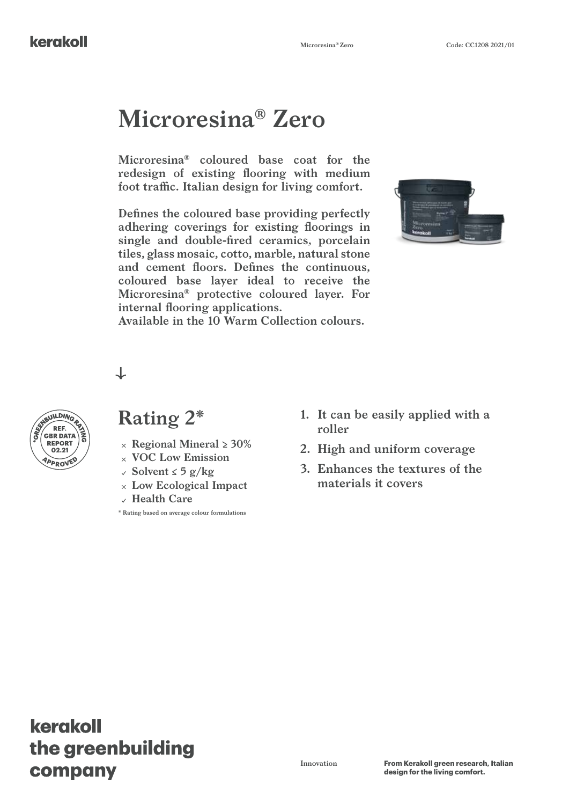# **Microresina® Zero**

**Microresina® coloured base coat for the redesign of existing flooring with medium foot traffic. Italian design for living comfort.**

**Defines the coloured base providing perfectly adhering coverings for existing floorings in single and double-fired ceramics, porcelain tiles, glass mosaic, cotto, marble, natural stone and cement floors. Defines the continuous, coloured base layer ideal to receive the Microresina® protective coloured layer. For internal flooring applications.**



**Available in the 10 Warm Collection colours.**

#### $\downarrow$



### **Rating 2\***

- **REPORT**  $\left( \begin{array}{c} 0 \\ 0 \end{array} \right)$   $\times$  Regional Mineral  $\geq 30\%$ 
	- **VOC Low Emission**
	- **Solvent ≤ 5 g/kg**
	- **Low Ecological Impact**
	- **Health Care**

**\* Rating based on average colour formulations**

- **1. It can be easily applied with a roller**
- **2. High and uniform coverage**
- **3. Enhances the textures of the materials it covers**

## kerakoll the greenbuilding company

**Innovation From Kerakoll green research, Italian design for the living comfort.**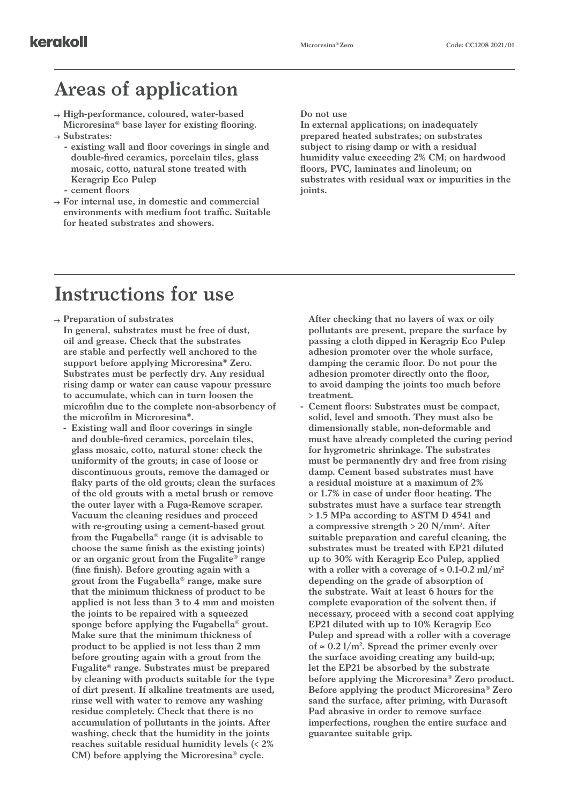### **Areas of application**

- **High-performance, coloured, water-based Microresina® base layer for existing flooring. Substrates:**
	- **- existing wall and floor coverings in single and double-fired ceramics, porcelain tiles, glass mosaic, cotto, natural stone treated with Keragrip Eco Pulep**
	- **- cement floors**
- **For internal use, in domestic and commercial environments with medium foot traffic. Suitable for heated substrates and showers.**

#### **Do not use**

**In external applications; on inadequately prepared heated substrates; on substrates subject to rising damp or with a residual humidity value exceeding 2% CM; on hardwood floors, PVC, laminates and linoleum; on substrates with residual wax or impurities in the joints.**

## **Instructions for use**

- **Preparation of substrates In general, substrates must be free of dust, oil and grease. Check that the substrates are stable and perfectly well anchored to the support before applying Microresina® Zero. Substrates must be perfectly dry. Any residual rising damp or water can cause vapour pressure to accumulate, which can in turn loosen the microfilm due to the complete non-absorbency of the microfilm in Microresina®.**
	- **- Existing wall and floor coverings in single and double-fired ceramics, porcelain tiles, glass mosaic, cotto, natural stone: check the uniformity of the grouts; in case of loose or discontinuous grouts, remove the damaged or flaky parts of the old grouts; clean the surfaces of the old grouts with a metal brush or remove the outer layer with a Fuga-Remove scraper. Vacuum the cleaning residues and proceed with re-grouting using a cement-based grout from the Fugabella® range (it is advisable to choose the same finish as the existing joints) or an organic grout from the Fugalite® range (fine finish). Before grouting again with a grout from the Fugabella® range, make sure that the minimum thickness of product to be applied is not less than 3 to 4 mm and moisten the joints to be repaired with a squeezed sponge before applying the Fugabella® grout. Make sure that the minimum thickness of product to be applied is not less than 2 mm before grouting again with a grout from the Fugalite® range. Substrates must be prepared by cleaning with products suitable for the type of dirt present. If alkaline treatments are used, rinse well with water to remove any washing residue completely. Check that there is no accumulation of pollutants in the joints. After washing, check that the humidity in the joints reaches suitable residual humidity levels (< 2% CM) before applying the Microresina® cycle.**

**After checking that no layers of wax or oily pollutants are present, prepare the surface by passing a cloth dipped in Keragrip Eco Pulep adhesion promoter over the whole surface, damping the ceramic floor. Do not pour the adhesion promoter directly onto the floor, to avoid damping the joints too much before treatment.**

**- Cement floors: Substrates must be compact, solid, level and smooth. They must also be dimensionally stable, non-deformable and must have already completed the curing period for hygrometric shrinkage. The substrates must be permanently dry and free from rising damp. Cement based substrates must have a residual moisture at a maximum of 2% or 1.7% in case of under floor heating. The substrates must have a surface tear strength > 1.5 MPa according to ASTM D 4541 and a compressive strength > 20 N/mm2 . After suitable preparation and careful cleaning, the substrates must be treated with EP21 diluted up to 30% with Keragrip Eco Pulep, applied**  with a roller with a coverage of  $\approx 0.1$ -0.2 ml/m<sup>2</sup> **depending on the grade of absorption of the substrate. Wait at least 6 hours for the complete evaporation of the solvent then, if necessary, proceed with a second coat applying EP21 diluted with up to 10% Keragrip Eco Pulep and spread with a roller with a coverage**  of ≈ 0.2  $1/m^2$ . Spread the primer evenly over **the surface avoiding creating any build-up; let the EP21 be absorbed by the substrate before applying the Microresina® Zero product. Before applying the product Microresina® Zero sand the surface, after priming, with Durasoft Pad abrasive in order to remove surface imperfections, roughen the entire surface and guarantee suitable grip.**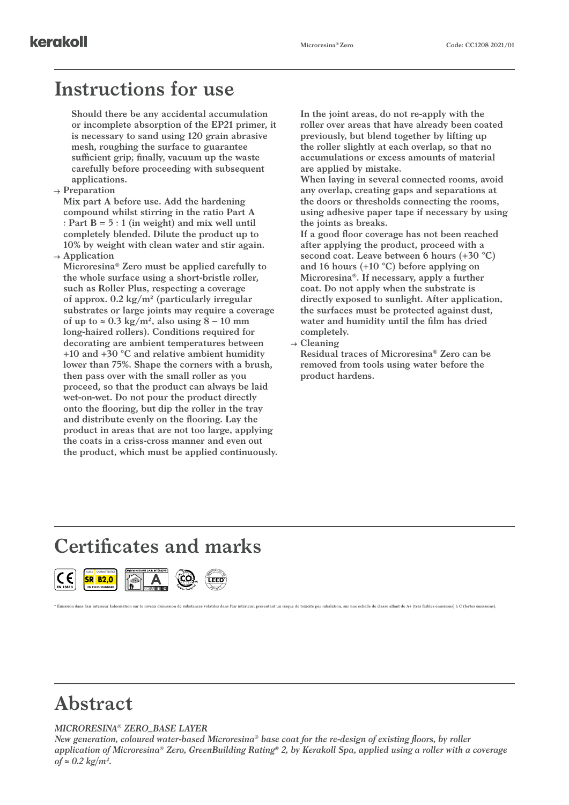#### **Instructions for use**

**Should there be any accidental accumulation or incomplete absorption of the EP21 primer, it is necessary to sand using 120 grain abrasive mesh, roughing the surface to guarantee sufficient grip; finally, vacuum up the waste carefully before proceeding with subsequent applications.**

**Preparation**

**Mix part A before use. Add the hardening compound whilst stirring in the ratio Part A : Part B = 5 : 1 (in weight) and mix well until completely blended. Dilute the product up to 10% by weight with clean water and stir again.**

**Application**

**Microresina® Zero must be applied carefully to the whole surface using a short-bristle roller, such as Roller Plus, respecting a coverage of approx. 0.2 kg/m² (particularly irregular substrates or large joints may require a coverage**  of up to  $\approx 0.3 \text{ kg/m}^2$ , also using  $8 - 10 \text{ mm}$ **long-haired rollers). Conditions required for decorating are ambient temperatures between +10 and +30 °C and relative ambient humidity lower than 75%. Shape the corners with a brush, then pass over with the small roller as you proceed, so that the product can always be laid wet-on-wet. Do not pour the product directly onto the flooring, but dip the roller in the tray and distribute evenly on the flooring. Lay the product in areas that are not too large, applying the coats in a criss-cross manner and even out the product, which must be applied continuously.** **In the joint areas, do not re-apply with the roller over areas that have already been coated previously, but blend together by lifting up the roller slightly at each overlap, so that no accumulations or excess amounts of material are applied by mistake.**

**When laying in several connected rooms, avoid any overlap, creating gaps and separations at the doors or thresholds connecting the rooms, using adhesive paper tape if necessary by using the joints as breaks.**

**If a good floor coverage has not been reached after applying the product, proceed with a second coat. Leave between 6 hours (+30 °C) and 16 hours (+10 °C) before applying on Microresina®. If necessary, apply a further coat. Do not apply when the substrate is directly exposed to sunlight. After application, the surfaces must be protected against dust, water and humidity until the film has dried completely.**

**Cleaning**

**Residual traces of Microresina® Zero can be removed from tools using water before the product hardens.**

### **Certificates and marks**





CONTRIBUTES TO <sup>P</sup> O <sup>I</sup> <sup>N</sup>Ñ٦

## **Abstract**

#### *MICRORESINA® ZERO\_BASE LAYER*

*New generation, coloured water-based Microresina® base coat for the re-design of existing floors, by roller application of Microresina® Zero, GreenBuilding Rating® 2, by Kerakoll Spa, applied using a roller with a coverage of ≈ 0.2 kg/m².*

n dans l'air intérieur Information sur le niveau d'émission de substances volatiles dans l'air intérieur, présentant un risque de toxicité par inhalation, sur une échelle de classe allant de A+ (très faibles émiss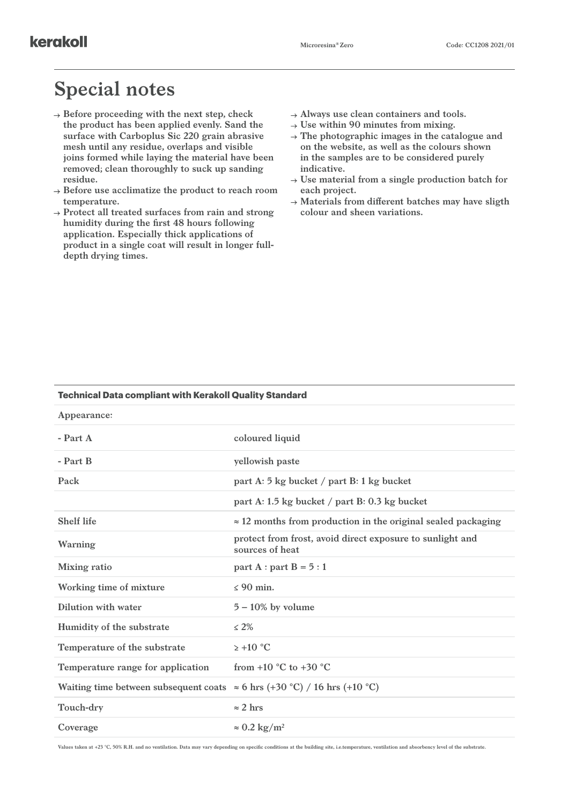## **Special notes**

- **Before proceeding with the next step, check the product has been applied evenly. Sand the surface with Carboplus Sic 220 grain abrasive mesh until any residue, overlaps and visible joins formed while laying the material have been removed; clean thoroughly to suck up sanding residue.**
- **Before use acclimatize the product to reach room temperature.**
- **Protect all treated surfaces from rain and strong humidity during the first 48 hours following application. Especially thick applications of product in a single coat will result in longer fulldepth drying times.**
- **Always use clean containers and tools.**
- **Use within 90 minutes from mixing.**
- **The photographic images in the catalogue and on the website, as well as the colours shown in the samples are to be considered purely indicative.**
- **Use material from a single production batch for each project.**
- **Materials from different batches may have sligth colour and sheen variations.**

| Appearance:                                                                      |                                                                              |  |
|----------------------------------------------------------------------------------|------------------------------------------------------------------------------|--|
| $-$ Part A                                                                       | coloured liquid                                                              |  |
| - Part B                                                                         | yellowish paste                                                              |  |
| Pack                                                                             | part A: 5 kg bucket / part B: 1 kg bucket                                    |  |
|                                                                                  | part A: 1.5 kg bucket / part B: 0.3 kg bucket                                |  |
| <b>Shelf life</b>                                                                | $\approx$ 12 months from production in the original sealed packaging         |  |
| Warning                                                                          | protect from frost, avoid direct exposure to sunlight and<br>sources of heat |  |
| Mixing ratio                                                                     | part A : part B = $5:1$                                                      |  |
| Working time of mixture                                                          | $< 90$ min.                                                                  |  |
| Dilution with water                                                              | $5 - 10\%$ by volume                                                         |  |
| Humidity of the substrate                                                        | $\leq 2\%$                                                                   |  |
| Temperature of the substrate                                                     | $> +10$ °C                                                                   |  |
| Temperature range for application                                                | from +10 $^{\circ}$ C to +30 $^{\circ}$ C                                    |  |
| Waiting time between subsequent coats $\approx$ 6 hrs (+30 °C) / 16 hrs (+10 °C) |                                                                              |  |
| Touch-dry                                                                        | $\approx$ 2 hrs                                                              |  |
| Coverage                                                                         | $\approx 0.2 \text{ kg/m}^2$                                                 |  |

**Technical Data compliant with Kerakoll Quality Standard**

**Values taken at +23 °C, 50% R.H. and no ventilation. Data may vary depending on specific conditions at the building site, i.e.temperature, ventilation and absorbency level of the substrate.**